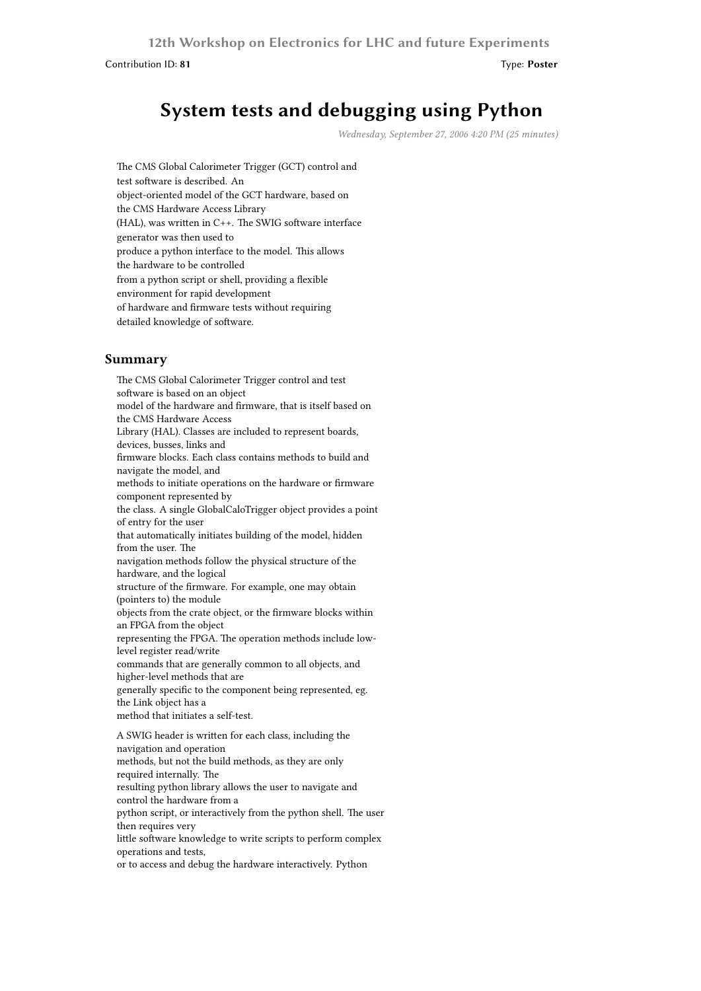**12th Workshop on Electronics for LHC and future Experiments**

Contribution ID: **81** Type: **Poster**

## **System tests and debugging using Python**

*Wednesday, September 27, 2006 4:20 PM (25 minutes)*

The CMS Global Calorimeter Trigger (GCT) control and test software is described. An object-oriented model of the GCT hardware, based on the CMS Hardware Access Library (HAL), was written in C++. The SWIG software interface generator was then used to produce a python interface to the model. This allows the hardware to be controlled from a python script or shell, providing a flexible environment for rapid development of hardware and firmware tests without requiring detailed knowledge of software.

## **Summary**

The CMS Global Calorimeter Trigger control and test software is based on an object model of the hardware and firmware, that is itself based on the CMS Hardware Access Library (HAL). Classes are included to represent boards, devices, busses, links and firmware blocks. Each class contains methods to build and navigate the model, and methods to initiate operations on the hardware or firmware component represented by the class. A single GlobalCaloTrigger object provides a point of entry for the user that automatically initiates building of the model, hidden from the user. The navigation methods follow the physical structure of the hardware, and the logical structure of the firmware. For example, one may obtain (pointers to) the module objects from the crate object, or the firmware blocks within an FPGA from the object representing the FPGA. The operation methods include lowlevel register read/write commands that are generally common to all objects, and higher-level methods that are generally specific to the component being represented, eg. the Link object has a method that initiates a self-test. A SWIG header is written for each class, including the navigation and operation methods, but not the build methods, as they are only required internally. The resulting python library allows the user to navigate and control the hardware from a python script, or interactively from the python shell. The user then requires very little software knowledge to write scripts to perform complex operations and tests, or to access and debug the hardware interactively. Python